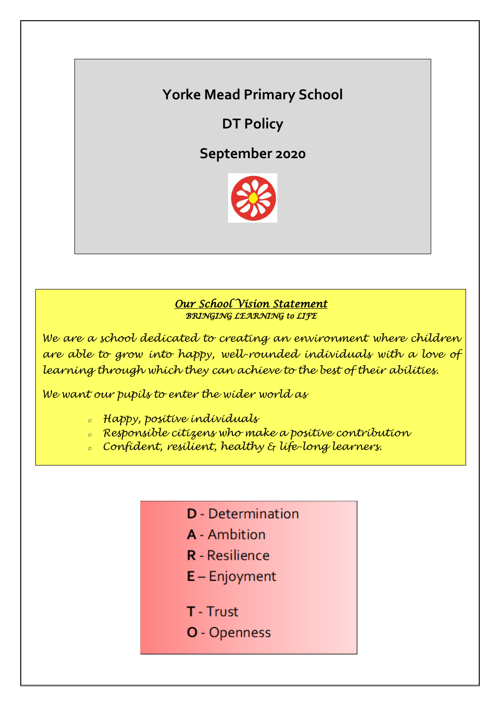# **Yorke Mead Primary School**

**DT Policy**

**September 2020**



# *Our School Vision Statement BRINGING LEARNING to LIFE*

*We are a school dedicated to creating an environment where children are able to grow into happy, well-rounded individuals with a love of learning through which they can achieve to the best of their abilities.*

*We want our pupils to enter the wider world as*

- *<sup>o</sup> Happy, positive individuals*
- *<sup>o</sup> Responsible citizens who make a positive contribution*
- *<sup>o</sup> Confident, resilient, healthy & life-long learners.*
	- **D** Determination
	- **A** Ambition
	- **R** Resilience
	- $E -$  Enjoyment
	- T Trust
	- O Openness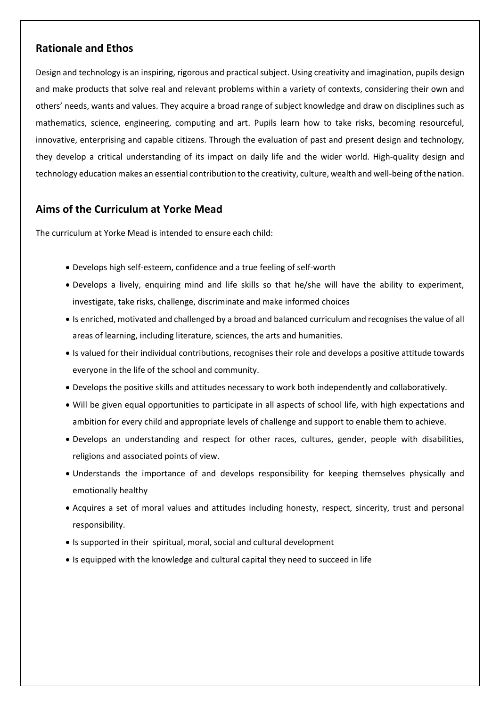## **Rationale and Ethos**

Design and technology is an inspiring, rigorous and practical subject. Using creativity and imagination, pupils design and make products that solve real and relevant problems within a variety of contexts, considering their own and others' needs, wants and values. They acquire a broad range of subject knowledge and draw on disciplines such as mathematics, science, engineering, computing and art. Pupils learn how to take risks, becoming resourceful, innovative, enterprising and capable citizens. Through the evaluation of past and present design and technology, they develop a critical understanding of its impact on daily life and the wider world. High-quality design and technology education makes an essential contribution to the creativity, culture, wealth and well-being of the nation.

# **Aims of the Curriculum at Yorke Mead**

The curriculum at Yorke Mead is intended to ensure each child:

- Develops high self-esteem, confidence and a true feeling of self-worth
- Develops a lively, enquiring mind and life skills so that he/she will have the ability to experiment, investigate, take risks, challenge, discriminate and make informed choices
- Is enriched, motivated and challenged by a broad and balanced curriculum and recognises the value of all areas of learning, including literature, sciences, the arts and humanities.
- Is valued for their individual contributions, recognises their role and develops a positive attitude towards everyone in the life of the school and community.
- Develops the positive skills and attitudes necessary to work both independently and collaboratively.
- Will be given equal opportunities to participate in all aspects of school life, with high expectations and ambition for every child and appropriate levels of challenge and support to enable them to achieve.
- Develops an understanding and respect for other races, cultures, gender, people with disabilities, religions and associated points of view.
- Understands the importance of and develops responsibility for keeping themselves physically and emotionally healthy
- Acquires a set of moral values and attitudes including honesty, respect, sincerity, trust and personal responsibility.
- Is supported in their spiritual, moral, social and cultural development
- Is equipped with the knowledge and cultural capital they need to succeed in life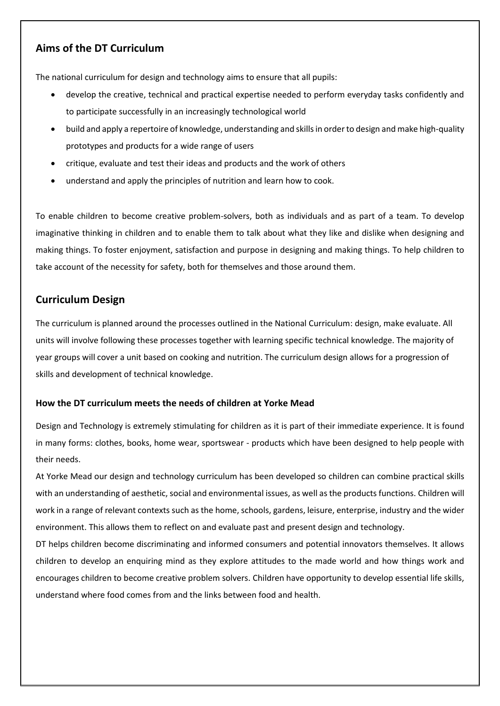# **Aims of the DT Curriculum**

The national curriculum for design and technology aims to ensure that all pupils:

- develop the creative, technical and practical expertise needed to perform everyday tasks confidently and to participate successfully in an increasingly technological world
- build and apply a repertoire of knowledge, understanding and skills in order to design and make high-quality prototypes and products for a wide range of users
- critique, evaluate and test their ideas and products and the work of others
- understand and apply the principles of nutrition and learn how to cook.

To enable children to become creative problem-solvers, both as individuals and as part of a team. To develop imaginative thinking in children and to enable them to talk about what they like and dislike when designing and making things. To foster enjoyment, satisfaction and purpose in designing and making things. To help children to take account of the necessity for safety, both for themselves and those around them.

# **Curriculum Design**

The curriculum is planned around the processes outlined in the National Curriculum: design, make evaluate. All units will involve following these processes together with learning specific technical knowledge. The majority of year groups will cover a unit based on cooking and nutrition. The curriculum design allows for a progression of skills and development of technical knowledge.

### **How the DT curriculum meets the needs of children at Yorke Mead**

Design and Technology is extremely stimulating for children as it is part of their immediate experience. It is found in many forms: clothes, books, home wear, sportswear - products which have been designed to help people with their needs.

At Yorke Mead our design and technology curriculum has been developed so children can combine practical skills with an understanding of aesthetic, social and environmental issues, as well as the products functions. Children will work in a range of relevant contexts such as the home, schools, gardens, leisure, enterprise, industry and the wider environment. This allows them to reflect on and evaluate past and present design and technology.

DT helps children become discriminating and informed consumers and potential innovators themselves. It allows children to develop an enquiring mind as they explore attitudes to the made world and how things work and encourages children to become creative problem solvers. Children have opportunity to develop essential life skills, understand where food comes from and the links between food and health.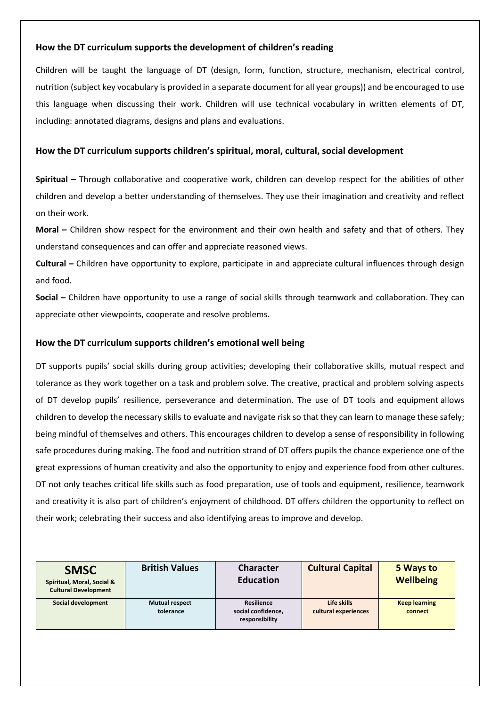### **How the DT curriculum supports the development of children's reading**

Children will be taught the language of DT (design, form, function, structure, mechanism, electrical control, nutrition (subject key vocabulary is provided in a separate document for all year groups)) and be encouraged to use this language when discussing their work. Children will use technical vocabulary in written elements of DT, including: annotated diagrams, designs and plans and evaluations.

### **How the DT curriculum supports children's spiritual, moral, cultural, social development**

**Spiritual –** Through collaborative and cooperative work, children can develop respect for the abilities of other children and develop a better understanding of themselves. They use their imagination and creativity and reflect on their work.

**Moral –** Children show respect for the environment and their own health and safety and that of others. They understand consequences and can offer and appreciate reasoned views.

**Cultural –** Children have opportunity to explore, participate in and appreciate cultural influences through design and food.

**Social –** Children have opportunity to use a range of social skills through teamwork and collaboration. They can appreciate other viewpoints, cooperate and resolve problems.

### **How the DT curriculum supports children's emotional well being**

DT supports pupils' social skills during group activities; developing their collaborative skills, mutual respect and tolerance as they work together on a task and problem solve. The creative, practical and problem solving aspects of DT develop pupils' resilience, perseverance and determination. The use of DT tools and equipment allows children to develop the necessary skills to evaluate and navigate risk so that they can learn to manage these safely; being mindful of themselves and others. This encourages children to develop a sense of responsibility in following safe procedures during making. The food and nutrition strand of DT offers pupils the chance experience one of the great expressions of human creativity and also the opportunity to enjoy and experience food from other cultures. DT not only teaches critical life skills such as food preparation, use of tools and equipment, resilience, teamwork and creativity it is also part of children's enjoyment of childhood. DT offers children the opportunity to reflect on their work; celebrating their success and also identifying areas to improve and develop.

| <b>SMSC</b><br>Spiritual, Moral, Social &<br><b>Cultural Development</b> | <b>British Values</b>              | <b>Character</b><br><b>Education</b>                      | <b>Cultural Capital</b>             | 5 Ways to<br><b>Wellbeing</b>   |
|--------------------------------------------------------------------------|------------------------------------|-----------------------------------------------------------|-------------------------------------|---------------------------------|
| Social development                                                       | <b>Mutual respect</b><br>tolerance | <b>Resilience</b><br>social confidence,<br>responsibility | Life skills<br>cultural experiences | <b>Keep learning</b><br>connect |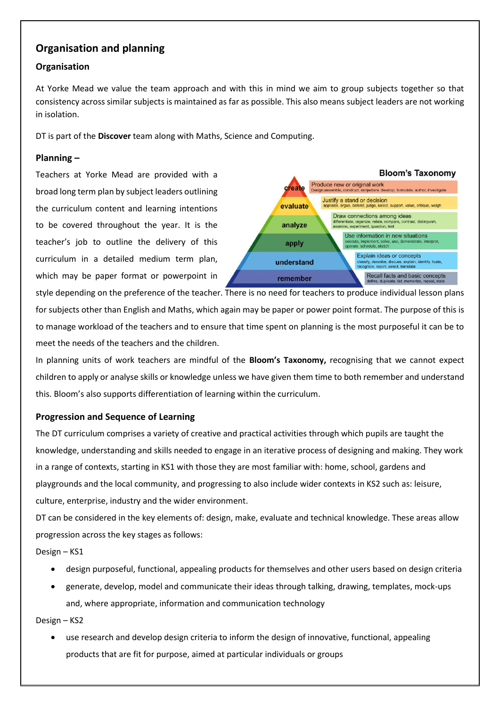# **Organisation and planning**

### **Organisation**

At Yorke Mead we value the team approach and with this in mind we aim to group subjects together so that consistency across similar subjects is maintained as far as possible. This also means subject leaders are not working in isolation.

DT is part of the **Discover** team along with Maths, Science and Computing.

#### **Planning –**

Teachers at Yorke Mead are provided with a broad long term plan by subject leaders outlining the curriculum content and learning intentions to be covered throughout the year. It is the teacher's job to outline the delivery of this curriculum in a detailed medium term plan, which may be paper format or powerpoint in



style depending on the preference of the teacher. There is no need for teachers to produce individual lesson plans for subjects other than English and Maths, which again may be paper or power point format. The purpose of this is to manage workload of the teachers and to ensure that time spent on planning is the most purposeful it can be to meet the needs of the teachers and the children.

In planning units of work teachers are mindful of the **Bloom's Taxonomy,** recognising that we cannot expect children to apply or analyse skills or knowledge unless we have given them time to both remember and understand this. Bloom's also supports differentiation of learning within the curriculum.

#### **Progression and Sequence of Learning**

The DT curriculum comprises a variety of creative and practical activities through which pupils are taught the knowledge, understanding and skills needed to engage in an iterative process of designing and making. They work in a range of contexts, starting in KS1 with those they are most familiar with: home, school, gardens and playgrounds and the local community, and progressing to also include wider contexts in KS2 such as: leisure, culture, enterprise, industry and the wider environment.

DT can be considered in the key elements of: design, make, evaluate and technical knowledge. These areas allow progression across the key stages as follows:

Design – KS1

- design purposeful, functional, appealing products for themselves and other users based on design criteria
- generate, develop, model and communicate their ideas through talking, drawing, templates, mock-ups and, where appropriate, information and communication technology

Design – KS2

 use research and develop design criteria to inform the design of innovative, functional, appealing products that are fit for purpose, aimed at particular individuals or groups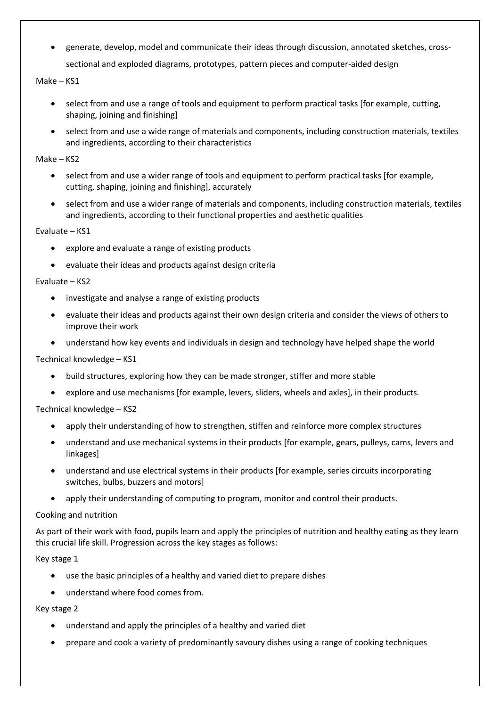generate, develop, model and communicate their ideas through discussion, annotated sketches, crosssectional and exploded diagrams, prototypes, pattern pieces and computer-aided design

Make – KS1

- select from and use a range of tools and equipment to perform practical tasks [for example, cutting, shaping, joining and finishing]
- select from and use a wide range of materials and components, including construction materials, textiles and ingredients, according to their characteristics

Make – KS2

- select from and use a wider range of tools and equipment to perform practical tasks [for example, cutting, shaping, joining and finishing], accurately
- select from and use a wider range of materials and components, including construction materials, textiles and ingredients, according to their functional properties and aesthetic qualities

Evaluate – KS1

- explore and evaluate a range of existing products
- evaluate their ideas and products against design criteria

Evaluate – KS2

- investigate and analyse a range of existing products
- evaluate their ideas and products against their own design criteria and consider the views of others to improve their work
- understand how key events and individuals in design and technology have helped shape the world

#### Technical knowledge – KS1

- build structures, exploring how they can be made stronger, stiffer and more stable
- explore and use mechanisms [for example, levers, sliders, wheels and axles], in their products.

Technical knowledge – KS2

- apply their understanding of how to strengthen, stiffen and reinforce more complex structures
- understand and use mechanical systems in their products [for example, gears, pulleys, cams, levers and linkages]
- understand and use electrical systems in their products [for example, series circuits incorporating switches, bulbs, buzzers and motors]
- apply their understanding of computing to program, monitor and control their products.

Cooking and nutrition

As part of their work with food, pupils learn and apply the principles of nutrition and healthy eating as they learn this crucial life skill. Progression across the key stages as follows:

Key stage 1

- use the basic principles of a healthy and varied diet to prepare dishes
- understand where food comes from.

Key stage 2

- understand and apply the principles of a healthy and varied diet
- prepare and cook a variety of predominantly savoury dishes using a range of cooking techniques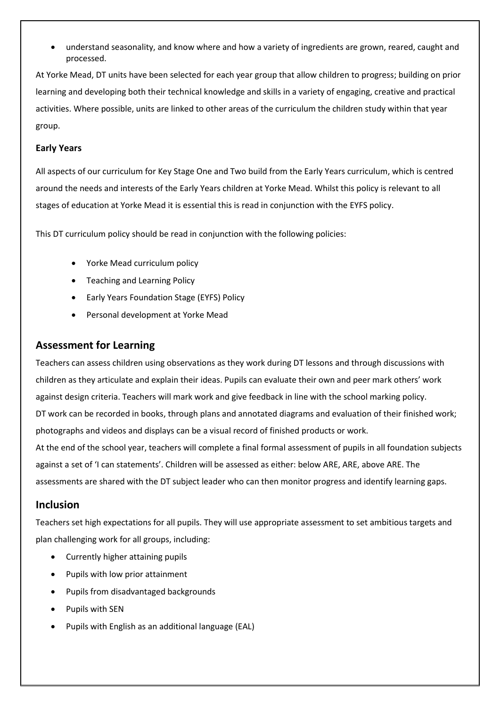understand seasonality, and know where and how a variety of ingredients are grown, reared, caught and processed.

At Yorke Mead, DT units have been selected for each year group that allow children to progress; building on prior learning and developing both their technical knowledge and skills in a variety of engaging, creative and practical activities. Where possible, units are linked to other areas of the curriculum the children study within that year group.

### **Early Years**

All aspects of our curriculum for Key Stage One and Two build from the Early Years curriculum, which is centred around the needs and interests of the Early Years children at Yorke Mead. Whilst this policy is relevant to all stages of education at Yorke Mead it is essential this is read in conjunction with the EYFS policy.

This DT curriculum policy should be read in conjunction with the following policies:

- Yorke Mead curriculum policy
- Teaching and Learning Policy
- Early Years Foundation Stage (EYFS) Policy
- Personal development at Yorke Mead

### **Assessment for Learning**

Teachers can assess children using observations as they work during DT lessons and through discussions with children as they articulate and explain their ideas. Pupils can evaluate their own and peer mark others' work against design criteria. Teachers will mark work and give feedback in line with the school marking policy. DT work can be recorded in books, through plans and annotated diagrams and evaluation of their finished work; photographs and videos and displays can be a visual record of finished products or work. At the end of the school year, teachers will complete a final formal assessment of pupils in all foundation subjects against a set of 'I can statements'. Children will be assessed as either: below ARE, ARE, above ARE. The

### **Inclusion**

Teachers set high expectations for all pupils. They will use appropriate assessment to set ambitious targets and plan challenging work for all groups, including:

assessments are shared with the DT subject leader who can then monitor progress and identify learning gaps.

- Currently higher attaining pupils
- Pupils with low prior attainment
- Pupils from disadvantaged backgrounds
- Pupils with SEN
- Pupils with English as an additional language (EAL)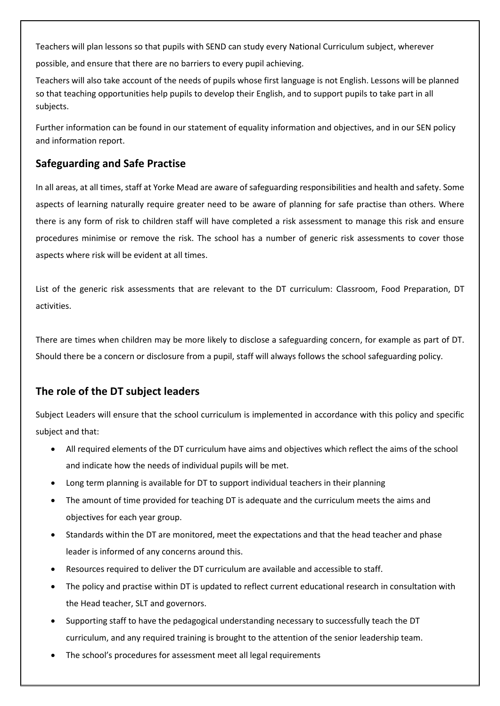Teachers will plan lessons so that pupils with SEND can study every National Curriculum subject, wherever possible, and ensure that there are no barriers to every pupil achieving.

Teachers will also take account of the needs of pupils whose first language is not English. Lessons will be planned so that teaching opportunities help pupils to develop their English, and to support pupils to take part in all subjects.

Further information can be found in our statement of equality information and objectives, and in our SEN policy and information report.

# **Safeguarding and Safe Practise**

In all areas, at all times, staff at Yorke Mead are aware of safeguarding responsibilities and health and safety. Some aspects of learning naturally require greater need to be aware of planning for safe practise than others. Where there is any form of risk to children staff will have completed a risk assessment to manage this risk and ensure procedures minimise or remove the risk. The school has a number of generic risk assessments to cover those aspects where risk will be evident at all times.

List of the generic risk assessments that are relevant to the DT curriculum: Classroom, Food Preparation, DT activities.

There are times when children may be more likely to disclose a safeguarding concern, for example as part of DT. Should there be a concern or disclosure from a pupil, staff will always follows the school safeguarding policy.

# **The role of the DT subject leaders**

Subject Leaders will ensure that the school curriculum is implemented in accordance with this policy and specific subject and that:

- All required elements of the DT curriculum have aims and objectives which reflect the aims of the school and indicate how the needs of individual pupils will be met.
- Long term planning is available for DT to support individual teachers in their planning
- The amount of time provided for teaching DT is adequate and the curriculum meets the aims and objectives for each year group.
- Standards within the DT are monitored, meet the expectations and that the head teacher and phase leader is informed of any concerns around this.
- Resources required to deliver the DT curriculum are available and accessible to staff.
- The policy and practise within DT is updated to reflect current educational research in consultation with the Head teacher, SLT and governors.
- Supporting staff to have the pedagogical understanding necessary to successfully teach the DT curriculum, and any required training is brought to the attention of the senior leadership team.
- The school's procedures for assessment meet all legal requirements